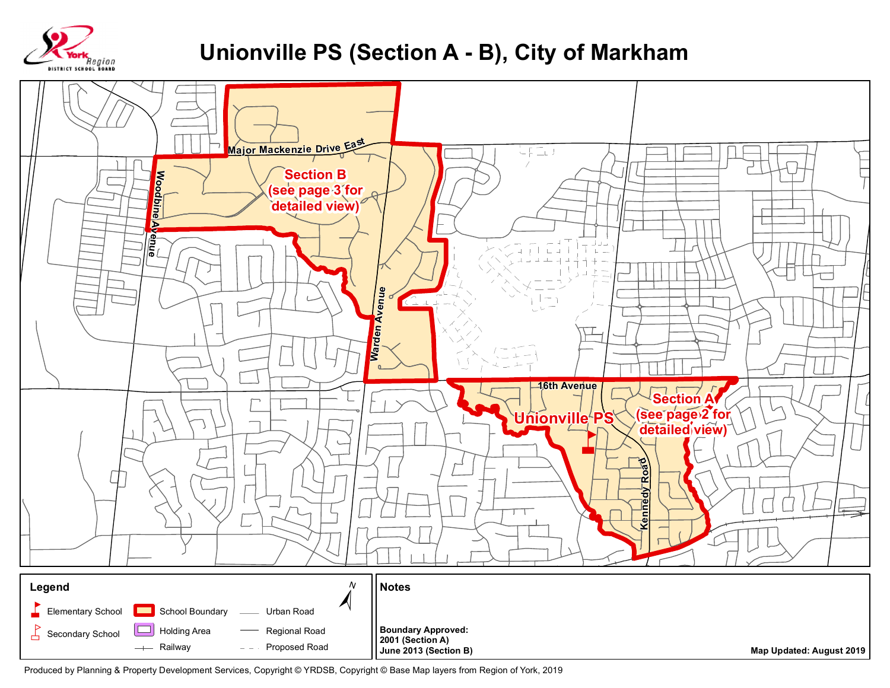

## **Unionville PS (Section A - B), City of Markham**



Produced by Planning & Property Development Services, Copyright © YRDSB, Copyright © Base Map layers from Region of York, 2019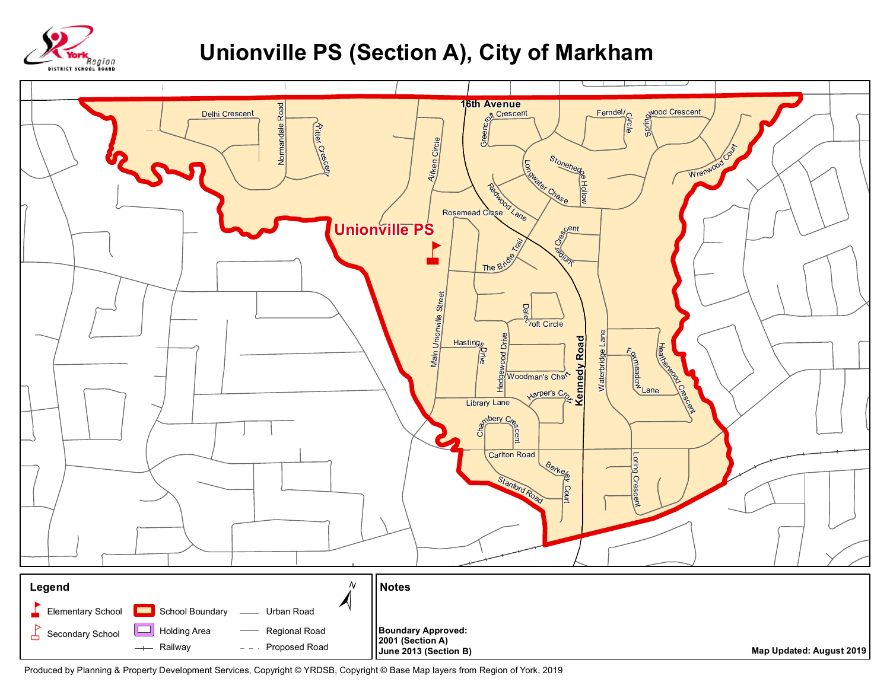

## **Unionville PS (Section A), City of Markham**



Produced by Planning & Property Development Services, Copyright © YRDSB, Copyright © Base Map layers from Region of York, 2019